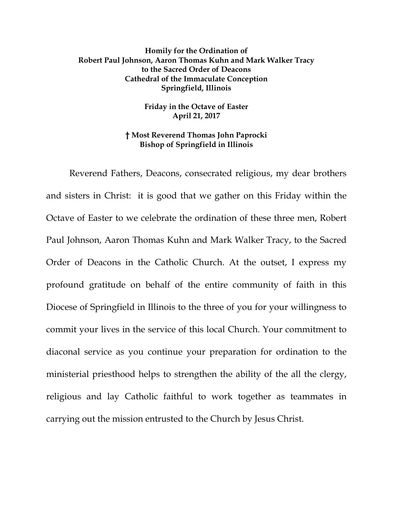## **Homily for the Ordination of Robert Paul Johnson, Aaron Thomas Kuhn and Mark Walker Tracy to the Sacred Order of Deacons Cathedral of the Immaculate Conception Springfield, Illinois**

**Friday in the Octave of Easter April 21, 2017**

## **† Most Reverend Thomas John Paprocki Bishop of Springfield in Illinois**

Reverend Fathers, Deacons, consecrated religious, my dear brothers and sisters in Christ: it is good that we gather on this Friday within the Octave of Easter to we celebrate the ordination of these three men, Robert Paul Johnson, Aaron Thomas Kuhn and Mark Walker Tracy, to the Sacred Order of Deacons in the Catholic Church. At the outset, I express my profound gratitude on behalf of the entire community of faith in this Diocese of Springfield in Illinois to the three of you for your willingness to commit your lives in the service of this local Church. Your commitment to diaconal service as you continue your preparation for ordination to the ministerial priesthood helps to strengthen the ability of the all the clergy, religious and lay Catholic faithful to work together as teammates in carrying out the mission entrusted to the Church by Jesus Christ.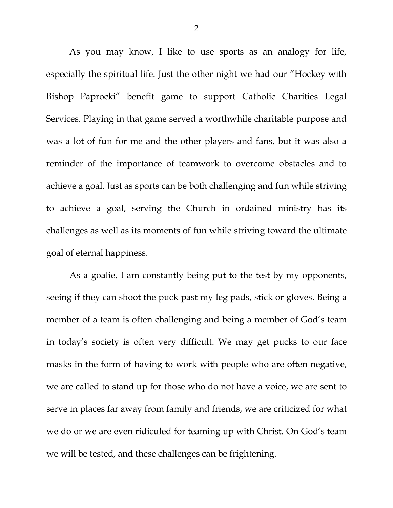As you may know, I like to use sports as an analogy for life, especially the spiritual life. Just the other night we had our "Hockey with Bishop Paprocki" benefit game to support Catholic Charities Legal Services. Playing in that game served a worthwhile charitable purpose and was a lot of fun for me and the other players and fans, but it was also a reminder of the importance of teamwork to overcome obstacles and to achieve a goal. Just as sports can be both challenging and fun while striving to achieve a goal, serving the Church in ordained ministry has its challenges as well as its moments of fun while striving toward the ultimate goal of eternal happiness.

As a goalie, I am constantly being put to the test by my opponents, seeing if they can shoot the puck past my leg pads, stick or gloves. Being a member of a team is often challenging and being a member of God's team in today's society is often very difficult. We may get pucks to our face masks in the form of having to work with people who are often negative, we are called to stand up for those who do not have a voice, we are sent to serve in places far away from family and friends, we are criticized for what we do or we are even ridiculed for teaming up with Christ. On God's team we will be tested, and these challenges can be frightening.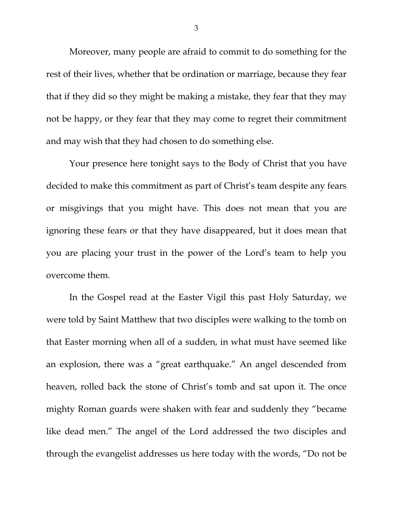Moreover, many people are afraid to commit to do something for the rest of their lives, whether that be ordination or marriage, because they fear that if they did so they might be making a mistake, they fear that they may not be happy, or they fear that they may come to regret their commitment and may wish that they had chosen to do something else.

Your presence here tonight says to the Body of Christ that you have decided to make this commitment as part of Christ's team despite any fears or misgivings that you might have. This does not mean that you are ignoring these fears or that they have disappeared, but it does mean that you are placing your trust in the power of the Lord's team to help you overcome them.

In the Gospel read at the Easter Vigil this past Holy Saturday, we were told by Saint Matthew that two disciples were walking to the tomb on that Easter morning when all of a sudden, in what must have seemed like an explosion, there was a "great earthquake." An angel descended from heaven, rolled back the stone of Christ's tomb and sat upon it. The once mighty Roman guards were shaken with fear and suddenly they "became like dead men." The angel of the Lord addressed the two disciples and through the evangelist addresses us here today with the words, "Do not be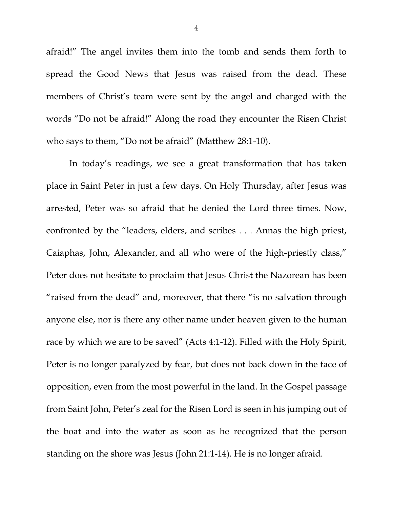afraid!" The angel invites them into the tomb and sends them forth to spread the Good News that Jesus was raised from the dead. These members of Christ's team were sent by the angel and charged with the words "Do not be afraid!" Along the road they encounter the Risen Christ who says to them, "Do not be afraid" (Matthew 28:1-10).

In today's readings, we see a great transformation that has taken place in Saint Peter in just a few days. On Holy Thursday, after Jesus was arrested, Peter was so afraid that he denied the Lord three times. Now, confronted by the "leaders, elders, and scribes . . . Annas the high priest, Caiaphas, John, Alexander, and all who were of the high-priestly class," Peter does not hesitate to proclaim that Jesus Christ the Nazorean has been "raised from the dead" and, moreover, that there "is no salvation through anyone else, nor is there any other name under heaven given to the human race by which we are to be saved" (Acts 4:1-12). Filled with the Holy Spirit, Peter is no longer paralyzed by fear, but does not back down in the face of opposition, even from the most powerful in the land. In the Gospel passage from Saint John, Peter's zeal for the Risen Lord is seen in his jumping out of the boat and into the water as soon as he recognized that the person standing on the shore was Jesus (John 21:1-14). He is no longer afraid.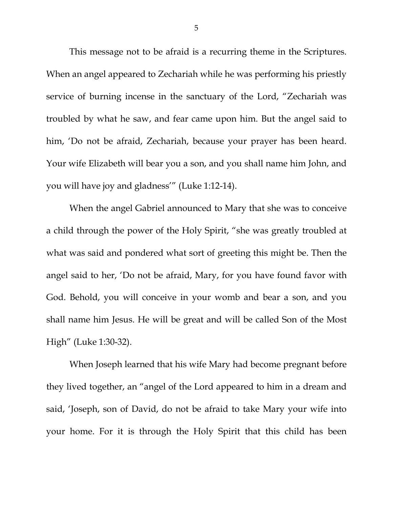This message not to be afraid is a recurring theme in the Scriptures. When an angel appeared to Zechariah while he was performing his priestly service of burning incense in the sanctuary of the Lord, "Zechariah was troubled by what he saw, and fear came upon him. But the angel said to him, 'Do not be afraid, Zechariah, because your prayer has been heard. Your wife Elizabeth will bear you a son, and you shall name him John, and you will have joy and gladness'" (Luke 1:12-14).

When the angel Gabriel announced to Mary that she was to conceive a child through the power of the Holy Spirit, "she was greatly troubled at what was said and pondered what sort of greeting this might be. Then the angel said to her, 'Do not be afraid, Mary, for you have found favor with God. Behold, you will conceive in your womb and bear a son, and you shall name him Jesus. He will be great and will be called Son of the Most High" (Luke 1:30-32).

When Joseph learned that his wife Mary had become pregnant before they lived together, an "angel of the Lord appeared to him in a dream and said, 'Joseph, son of David, do not be afraid to take Mary your wife into your home. For it is through the Holy Spirit that this child has been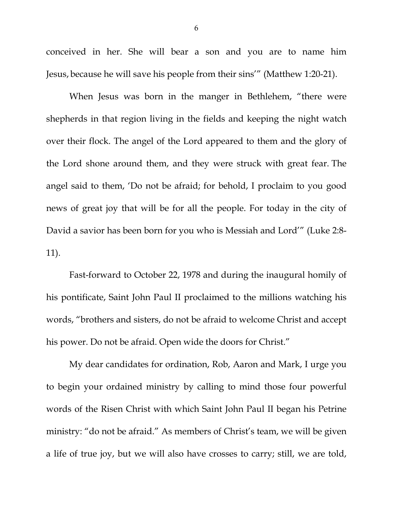conceived in her. She will bear a son and you are to name him Jesus, because he will save his people from their sins'" (Matthew 1:20-21).

When Jesus was born in the manger in Bethlehem, "there were shepherds in that region living in the fields and keeping the night watch over their flock. The angel of the Lord appeared to them and the glory of the Lord shone around them, and they were struck with great fear. The angel said to them, 'Do not be afraid; for behold, I proclaim to you good news of great joy that will be for all the people. For today in the city of David a savior has been born for you who is Messiah and Lord'" (Luke 2:8- 11).

Fast-forward to October 22, 1978 and during the inaugural homily of his pontificate, Saint John Paul II proclaimed to the millions watching his words, "brothers and sisters, do not be afraid to welcome Christ and accept his power. Do not be afraid. Open wide the doors for Christ."

My dear candidates for ordination, Rob, Aaron and Mark, I urge you to begin your ordained ministry by calling to mind those four powerful words of the Risen Christ with which Saint John Paul II began his Petrine ministry: "do not be afraid." As members of Christ's team, we will be given a life of true joy, but we will also have crosses to carry; still, we are told,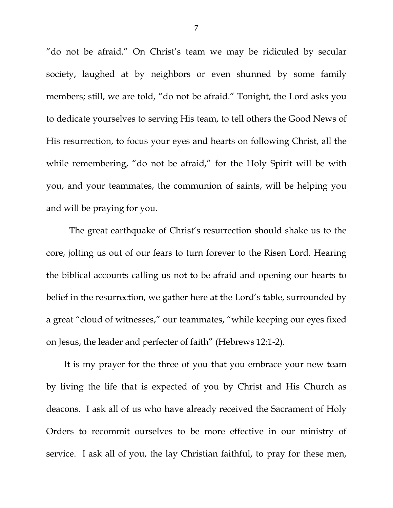"do not be afraid." On Christ's team we may be ridiculed by secular society, laughed at by neighbors or even shunned by some family members; still, we are told, "do not be afraid." Tonight, the Lord asks you to dedicate yourselves to serving His team, to tell others the Good News of His resurrection, to focus your eyes and hearts on following Christ, all the while remembering, "do not be afraid," for the Holy Spirit will be with you, and your teammates, the communion of saints, will be helping you and will be praying for you.

The great earthquake of Christ's resurrection should shake us to the core, jolting us out of our fears to turn forever to the Risen Lord. Hearing the biblical accounts calling us not to be afraid and opening our hearts to belief in the resurrection, we gather here at the Lord's table, surrounded by a great "cloud of witnesses," our teammates, "while keeping our eyes fixed on Jesus, the leader and perfecter of faith" (Hebrews 12:1-2).

It is my prayer for the three of you that you embrace your new team by living the life that is expected of you by Christ and His Church as deacons. I ask all of us who have already received the Sacrament of Holy Orders to recommit ourselves to be more effective in our ministry of service. I ask all of you, the lay Christian faithful, to pray for these men,